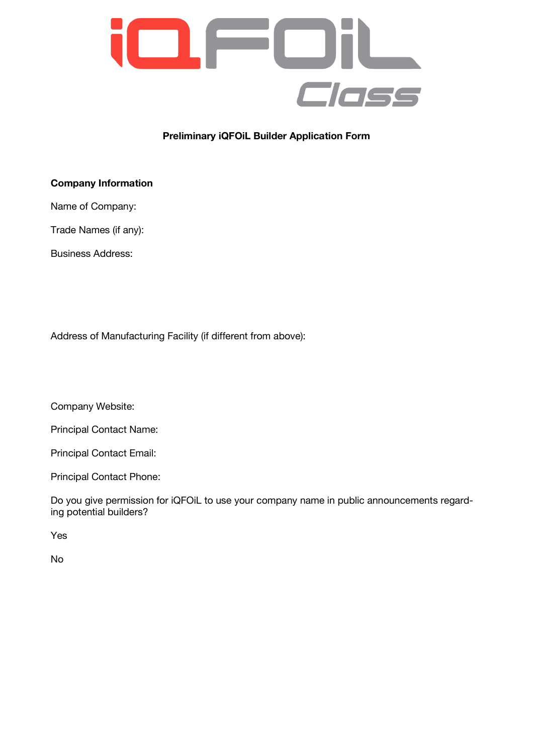

# **Preliminary iQFOiL Builder Application Form**

## **Company Information**

Name of Company:

Trade Names (if any):

Business Address:

Address of Manufacturing Facility (if different from above):

Company Website:

Principal Contact Name:

Principal Contact Email:

Principal Contact Phone:

Do you give permission for iQFOiL to use your company name in public announcements regarding potential builders?

Yes

No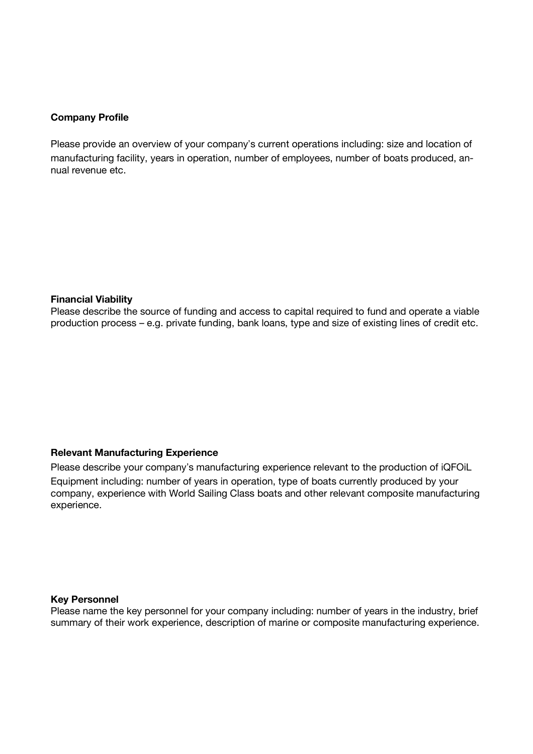### **Company Profile**

Please provide an overview of your company's current operations including: size and location of manufacturing facility, years in operation, number of employees, number of boats produced, annual revenue etc.

#### **Financial Viability**

Please describe the source of funding and access to capital required to fund and operate a viable production process – e.g. private funding, bank loans, type and size of existing lines of credit etc.

### **Relevant Manufacturing Experience**

Please describe your company's manufacturing experience relevant to the production of iQFOIL Equipment including: number of years in operation, type of boats currently produced by your company, experience with World Sailing Class boats and other relevant composite manufacturing experience.

#### **Key Personnel**

Please name the key personnel for your company including: number of years in the industry, brief summary of their work experience, description of marine or composite manufacturing experience.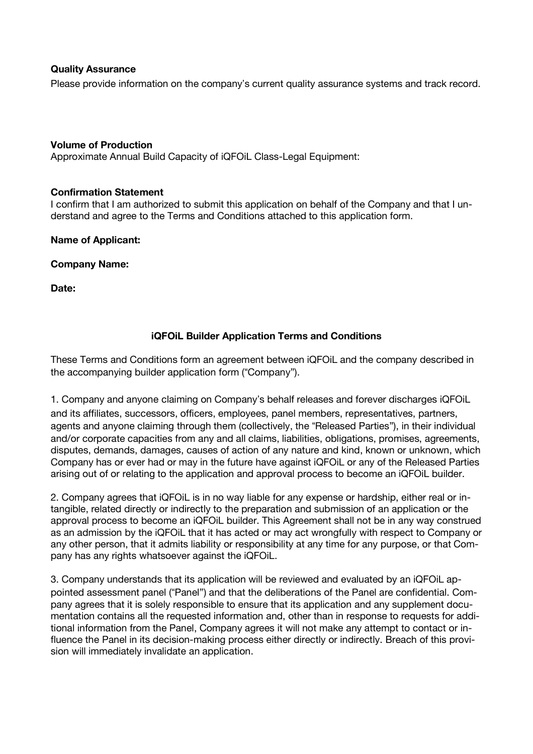### **Quality Assurance**

Please provide information on the company's current quality assurance systems and track record.

### **Volume of Production**

Approximate Annual Build Capacity of iQFOiL Class-Legal Equipment:

### **Confirmation Statement**

I confirm that I am authorized to submit this application on behalf of the Company and that I understand and agree to the Terms and Conditions attached to this application form.

**Name of Applicant:**

**Company Name:**

**Date:**

## **iQFOiL Builder Application Terms and Conditions**

These Terms and Conditions form an agreement between iQFOiL and the company described in the accompanying builder application form ("Company").

1. Company and anyone claiming on Company's behalf releases and forever discharges iQFOIL and its affiliates, successors, officers, employees, panel members, representatives, partners, agents and anyone claiming through them (collectively, the "Released Parties"), in their individual and/or corporate capacities from any and all claims, liabilities, obligations, promises, agreements, disputes, demands, damages, causes of action of any nature and kind, known or unknown, which Company has or ever had or may in the future have against iQFOiL or any of the Released Parties arising out of or relating to the application and approval process to become an iQFOiL builder.

2. Company agrees that iQFOiL is in no way liable for any expense or hardship, either real or intangible, related directly or indirectly to the preparation and submission of an application or the approval process to become an iQFOiL builder. This Agreement shall not be in any way construed as an admission by the iQFOiL that it has acted or may act wrongfully with respect to Company or any other person, that it admits liability or responsibility at any time for any purpose, or that Company has any rights whatsoever against the iQFOiL.

3. Company understands that its application will be reviewed and evaluated by an iQFOiL appointed assessment panel ("Panel") and that the deliberations of the Panel are confidential. Company agrees that it is solely responsible to ensure that its application and any supplement documentation contains all the requested information and, other than in response to requests for additional information from the Panel, Company agrees it will not make any attempt to contact or influence the Panel in its decision-making process either directly or indirectly. Breach of this provision will immediately invalidate an application.